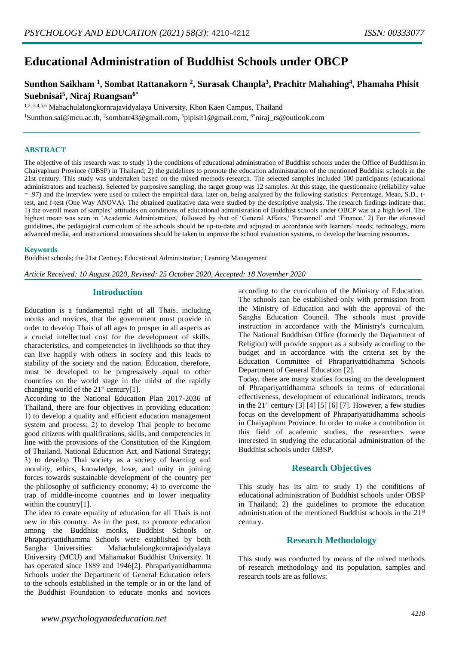# **Educational Administration of Buddhist Schools under OBCP**

# **Sunthon Saikham <sup>1</sup> , Sombat Rattanakorn <sup>2</sup> , Surasak Chanpla<sup>3</sup> , Prachitr Mahahing<sup>4</sup> , Phamaha Phisit Suebnisai<sup>5</sup> , Niraj Ruangsan6\***

1,2, 3,4,5,6 Mahachulalongkornrajavidyalaya University, Khon Kaen Campus, Thailand

<sup>1</sup>Sunthon.sai@mcu.ac.th, <sup>2</sup>sombatr43@gmail.com, <sup>5</sup>pipisit1@gmail.com, <sup>6\*</sup>niraj\_rs@outlook.com

#### **ABSTRACT**

The objective of this research was: to study 1) the conditions of educational administration of Buddhist schools under the Office of Buddhism in Chaiyaphum Province (OBSP) in Thailand; 2) the guidelines to promote the education administration of the mentioned Buddhist schools in the 21st century. This study was undertaken based on the mixed methods-research. The selected samples included 100 participants (educational administrators and teachers). Selected by purposive sampling, the target group was 12 samples. At this stage, the questionnaire (reliability value = .97) and the interview were used to collect the empirical data, later on, being analyzed by the following statistics: Percentage, Mean, S.D., ttest, and f-test (One Way ANOVA). The obtained qualitative data were studied by the descriptive analysis. The research findings indicate that: 1) the overall mean of samples' attitudes on conditions of educational administration of Buddhist schools under OBCP was at a high level. The highest mean was seen in 'Academic Administration,' followed by that of 'General Affairs,' 'Personnel' and 'Finance.' 2) For the aforesaid guidelines, the pedagogical curriculum of the schools should be up-to-date and adjusted in accordance with learners' needs; technology, more advanced media, and instructional innovations should be taken to improve the school evaluation systems, to develop the learning resources.

#### **Keywords**

Buddhist schools; the 21st Century; Educational Administration; Learning Management

*Article Received: 10 August 2020, Revised: 25 October 2020, Accepted: 18 November 2020*

# **Introduction**

Education is a fundamental right of all Thais, including monks and novices, that the government must provide in order to develop Thais of all ages to prosper in all aspects as a crucial intellectual cost for the development of skills, characteristics, and competencies in livelihoods so that they can live happily with others in society and this leads to stability of the society and the nation. Education, therefore, must be developed to be progressively equal to other countries on the world stage in the midst of the rapidly changing world of the  $21^{st}$  century[1].

According to the National Education Plan 2017-2036 of Thailand, there are four objectives in providing education: 1) to develop a quality and efficient education management system and process; 2) to develop Thai people to become good citizens with qualifications, skills, and competencies in line with the provisions of the Constitution of the Kingdom of Thailand, National Education Act, and National Strategy; 3) to develop Thai society as a society of learning and morality, ethics, knowledge, love, and unity in joining forces towards sustainable development of the country per the philosophy of sufficiency economy; 4) to overcome the trap of middle-income countries and to lower inequality within the country[1].

The idea to create equality of education for all Thais is not new in this country. As in the past, to promote education among the Buddhist monks, Buddhist Schools or Phrapariyattidhamma Schools were established by both Sangha Universities: Mahachulalongkornrajavidyalaya University (MCU) and Mahamakut Buddhist University. It has operated since 1889 and 1946[2]. Phrapariyattidhamma Schools under the Department of General Education refers to the schools established in the temple or in or the land of the Buddhist Foundation to educate monks and novices

according to the curriculum of the Ministry of Education. The schools can be established only with permission from the Ministry of Education and with the approval of the Sangha Education Council. The schools must provide instruction in accordance with the Ministry's curriculum. The National Buddhism Office (formerly the Department of Religion) will provide support as a subsidy according to the budget and in accordance with the criteria set by the Education Committee of Phrapariyattidhamma Schools Department of General Education [2].

Today, there are many studies focusing on the development of Phrapariyattidhamma schools in terms of educational effectiveness, development of educational indicators, trends in the  $21^{st}$  century [3] [4] [5] [6] [7]. However, a few studies focus on the development of Phrapariyattidhamma schools in Chaiyaphum Province. In order to make a contribution in this field of academic studies, the researchers were interested in studying the educational administration of the Buddhist schools under OBSP.

# **Research Objectives**

This study has its aim to study 1) the conditions of educational administration of Buddhist schools under OBSP in Thailand; 2) the guidelines to promote the education administration of the mentioned Buddhist schools in the 21st century.

# **Research Methodology**

This study was conducted by means of the mixed methods of research methodology and its population, samples and research tools are as follows: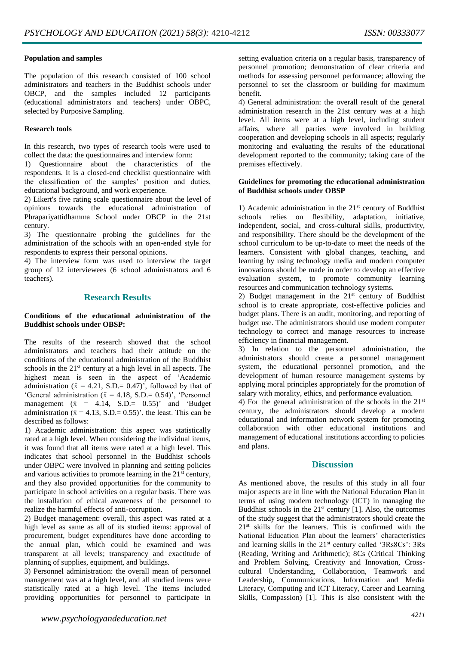#### **Population and samples**

The population of this research consisted of 100 school administrators and teachers in the Buddhist schools under OBCP, and the samples included 12 participants (educational administrators and teachers) under OBPC, selected by Purposive Sampling.

#### **Research tools**

In this research, two types of research tools were used to collect the data: the questionnaires and interview form:

1) Questionnaire about the characteristics of the respondents. It is a closed-end checklist questionnaire with the classification of the samples' position and duties, educational background, and work experience.

2) Likert's five rating scale questionnaire about the level of opinions towards the educational administration of Phrapariyattidhamma School under OBCP in the 21st century.

3) The questionnaire probing the guidelines for the administration of the schools with an open-ended style for respondents to express their personal opinions.

4) The interview form was used to interview the target group of 12 interviewees (6 school administrators and 6 teachers).

# **Research Results**

#### **Conditions of the educational administration of the Buddhist schools under OBSP:**

The results of the research showed that the school administrators and teachers had their attitude on the conditions of the educational administration of the Buddhist schools in the 21<sup>st</sup> century at a high level in all aspects. The highest mean is seen in the aspect of 'Academic administration ( $\bar{x} = 4.21$ , S.D.= 0.47)<sup>7</sup>, followed by that of 'General administration ( $\bar{x} = 4.18$ , S.D.= 0.54)', 'Personnel management  $(\bar{x} = 4.14, S.D. = 0.55)$  and 'Budget administration ( $\bar{x} = 4.13$ , S.D.= 0.55)', the least. This can be described as follows:

1) Academic administration: this aspect was statistically rated at a high level. When considering the individual items, it was found that all items were rated at a high level. This indicates that school personnel in the Buddhist schools under OBPC were involved in planning and setting policies and various activities to promote learning in the  $21<sup>st</sup>$  century, and they also provided opportunities for the community to participate in school activities on a regular basis. There was the installation of ethical awareness of the personnel to realize the harmful effects of anti-corruption.

2) Budget management: overall, this aspect was rated at a high level as same as all of its studied items: approval of procurement, budget expenditures have done according to the annual plan, which could be examined and was transparent at all levels; transparency and exactitude of planning of supplies, equipment, and buildings.

3) Personnel administration: the overall mean of personnel management was at a high level, and all studied items were statistically rated at a high level. The items included providing opportunities for personnel to participate in

setting evaluation criteria on a regular basis, transparency of personnel promotion; demonstration of clear criteria and methods for assessing personnel performance; allowing the personnel to set the classroom or building for maximum benefit.

4) General administration: the overall result of the general administration research in the 21st century was at a high level. All items were at a high level, including student affairs, where all parties were involved in building cooperation and developing schools in all aspects; regularly monitoring and evaluating the results of the educational development reported to the community; taking care of the premises effectively.

#### **Guidelines for promoting the educational administration of Buddhist schools under OBSP**

1) Academic administration in the  $21<sup>st</sup>$  century of Buddhist schools relies on flexibility, adaptation, initiative, independent, social, and cross-cultural skills, productivity, and responsibility. There should be the development of the school curriculum to be up-to-date to meet the needs of the learners. Consistent with global changes, teaching, and learning by using technology media and modern computer innovations should be made in order to develop an effective evaluation system, to promote community learning resources and communication technology systems.

2) Budget management in the  $21<sup>st</sup>$  century of Buddhist school is to create appropriate, cost-effective policies and budget plans. There is an audit, monitoring, and reporting of budget use. The administrators should use modern computer technology to correct and manage resources to increase efficiency in financial management.

3) In relation to the personnel administration, the administrators should create a personnel management system, the educational personnel promotion, and the development of human resource management systems by applying moral principles appropriately for the promotion of salary with morality, ethics, and performance evaluation.

4) For the general administration of the schools in the  $21<sup>st</sup>$ century, the administrators should develop a modern educational and information network system for promoting collaboration with other educational institutions and management of educational institutions according to policies and plans.

# **Discussion**

As mentioned above, the results of this study in all four major aspects are in line with the National Education Plan in terms of using modern technology (ICT) in managing the Buddhist schools in the  $21<sup>st</sup>$  century [1]. Also, the outcomes of the study suggest that the administrators should create the 21st skills for the learners. This is confirmed with the National Education Plan about the learners' characteristics and learning skills in the 21<sup>st</sup> century called '3Rs8Cs': 3Rs (Reading, Writing and Arithmetic); 8Cs (Critical Thinking and Problem Solving, Creativity and Innovation, Crosscultural Understanding, Collaboration, Teamwork and Leadership, Communications, Information and Media Literacy, Computing and ICT Literacy, Career and Learning Skills, Compassion) [1]. This is also consistent with the